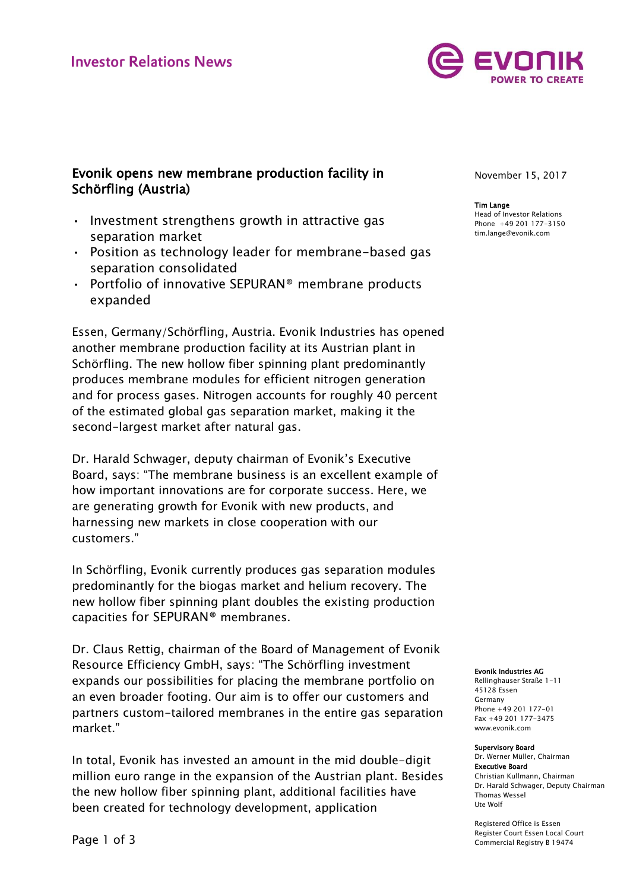

# Evonik opens new membrane production facility in Schörfling (Austria)

- Investment strengthens growth in attractive gas separation market
- Position as technology leader for membrane-based gas separation consolidated
- Portfolio of innovative SEPURAN® membrane products expanded

Essen, Germany/Schörfling, Austria. Evonik Industries has opened another membrane production facility at its Austrian plant in Schörfling. The new hollow fiber spinning plant predominantly produces membrane modules for efficient nitrogen generation and for process gases. Nitrogen accounts for roughly 40 percent of the estimated global gas separation market, making it the second-largest market after natural gas.

Dr. Harald Schwager, deputy chairman of Evonik's Executive Board, says: "The membrane business is an excellent example of how important innovations are for corporate success. Here, we are generating growth for Evonik with new products, and harnessing new markets in close cooperation with our customers."

In Schörfling, Evonik currently produces gas separation modules predominantly for the biogas market and helium recovery. The new hollow fiber spinning plant doubles the existing production capacities for SEPURAN® membranes.

Dr. Claus Rettig, chairman of the Board of Management of Evonik Resource Efficiency GmbH, says: "The Schörfling investment expands our possibilities for placing the membrane portfolio on an even broader footing. Our aim is to offer our customers and partners custom-tailored membranes in the entire gas separation market."

In total, Evonik has invested an amount in the mid double-digit million euro range in the expansion of the Austrian plant. Besides the new hollow fiber spinning plant, additional facilities have been created for technology development, application

November 15, 2017

## Tim Lange

Head of Investor Relations Phone +49 201 177-3150 tim.lange@evonik.com

#### Evonik Industries AG

Rellinghauser Straße 1-11 45128 Essen Germany Phone +49 201 177-01 Fax +49 201 177-3475 www.evonik.com

### Supervisory Board

Dr. Werner Müller, Chairman Executive Board Christian Kullmann, Chairman Dr. Harald Schwager, Deputy Chairman Thomas Wessel Ute Wolf

Registered Office is Essen Register Court Essen Local Court Commercial Registry B 19474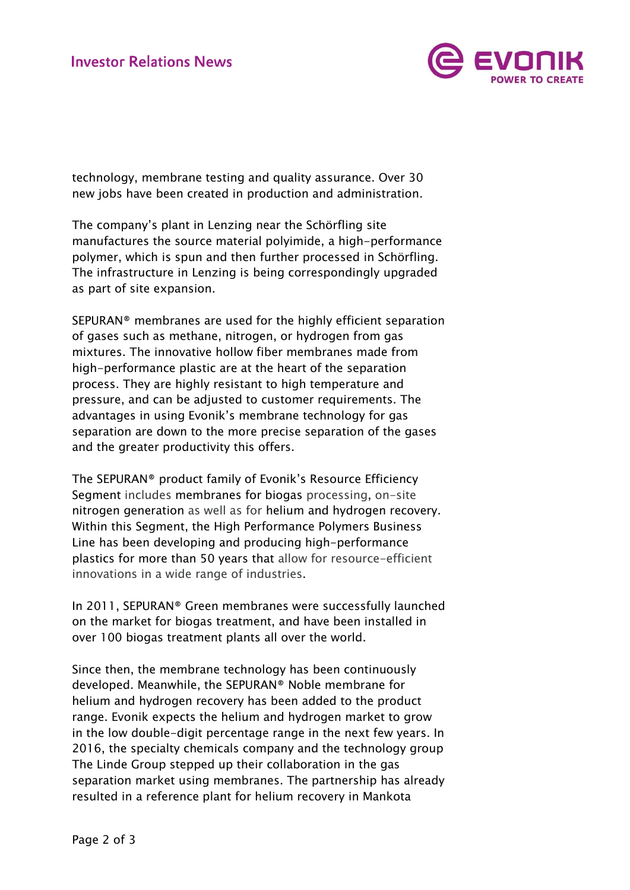

technology, membrane testing and quality assurance. Over 30 new jobs have been created in production and administration.

The company's plant in Lenzing near the Schörfling site manufactures the source material polyimide, a high-performance polymer, which is spun and then further processed in Schörfling. The infrastructure in Lenzing is being correspondingly upgraded as part of site expansion.

SEPURAN® membranes are used for the highly efficient separation of gases such as methane, nitrogen, or hydrogen from gas mixtures. The innovative hollow fiber membranes made from high-performance plastic are at the heart of the separation process. They are highly resistant to high temperature and pressure, and can be adjusted to customer requirements. The advantages in using Evonik's membrane technology for gas separation are down to the more precise separation of the gases and the greater productivity this offers.

The SEPURAN® product family of Evonik's Resource Efficiency Segment includes membranes for biogas processing, on-site nitrogen generation as well as for helium and hydrogen recovery. Within this Segment, the High Performance Polymers Business Line has been developing and producing high-performance plastics for more than 50 years that allow for resource-efficient innovations in a wide range of industries.

In 2011, SEPURAN® Green membranes were successfully launched on the market for biogas treatment, and have been installed in over 100 biogas treatment plants all over the world.

Since then, the membrane technology has been continuously developed. Meanwhile, the SEPURAN® Noble membrane for helium and hydrogen recovery has been added to the product range. Evonik expects the helium and hydrogen market to grow in the low double-digit percentage range in the next few years. In 2016, the specialty chemicals company and the technology group The Linde Group stepped up their collaboration in the gas separation market using membranes. The partnership has already resulted in a reference plant for helium recovery in Mankota